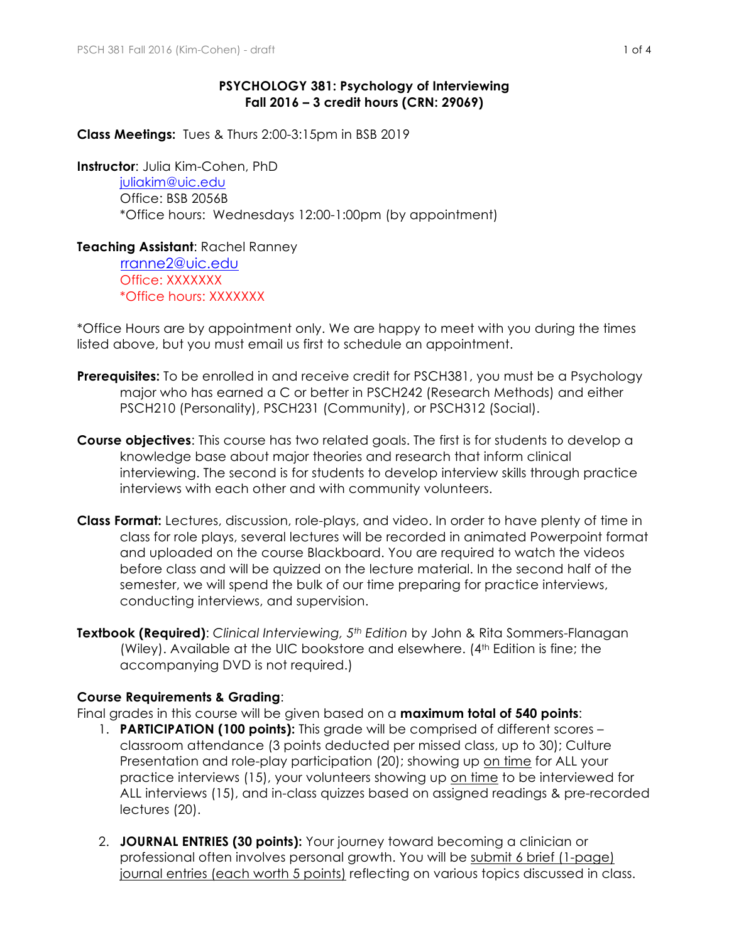## **PSYCHOLOGY 381: Psychology of Interviewing Fall 2016 – 3 credit hours (CRN: 29069)**

**Class Meetings:** Tues & Thurs 2:00-3:15pm in BSB 2019

**Instructor**: Julia Kim-Cohen, PhD

juliakim@uic.edu Office: BSB 2056B \*Office hours: Wednesdays 12:00-1:00pm (by appointment)

## **Teaching Assistant**: Rachel Ranney

 rranne2@uic.edu Office: XXXXXXX \*Office hours: XXXXXXX

\*Office Hours are by appointment only. We are happy to meet with you during the times listed above, but you must email us first to schedule an appointment.

- **Prerequisites:** To be enrolled in and receive credit for PSCH381, you must be a Psychology major who has earned a C or better in PSCH242 (Research Methods) and either PSCH210 (Personality), PSCH231 (Community), or PSCH312 (Social).
- **Course objectives**: This course has two related goals. The first is for students to develop a knowledge base about major theories and research that inform clinical interviewing. The second is for students to develop interview skills through practice interviews with each other and with community volunteers.
- **Class Format:** Lectures, discussion, role-plays, and video. In order to have plenty of time in class for role plays, several lectures will be recorded in animated Powerpoint format and uploaded on the course Blackboard. You are required to watch the videos before class and will be quizzed on the lecture material. In the second half of the semester, we will spend the bulk of our time preparing for practice interviews, conducting interviews, and supervision.
- **Textbook (Required)**: *Clinical Interviewing, 5th Edition* by John & Rita Sommers-Flanagan (Wiley). Available at the UIC bookstore and elsewhere.  $(4<sup>th</sup>$  Edition is fine; the accompanying DVD is not required.)

# **Course Requirements & Grading**:

Final grades in this course will be given based on a **maximum total of 540 points**:

- 1. **PARTICIPATION (100 points):** This grade will be comprised of different scores classroom attendance (3 points deducted per missed class, up to 30); Culture Presentation and role-play participation (20); showing up on time for ALL your practice interviews (15), your volunteers showing up on time to be interviewed for ALL interviews (15), and in-class quizzes based on assigned readings & pre-recorded lectures (20).
- 2. **JOURNAL ENTRIES (30 points):** Your journey toward becoming a clinician or professional often involves personal growth. You will be submit 6 brief (1-page) journal entries (each worth 5 points) reflecting on various topics discussed in class.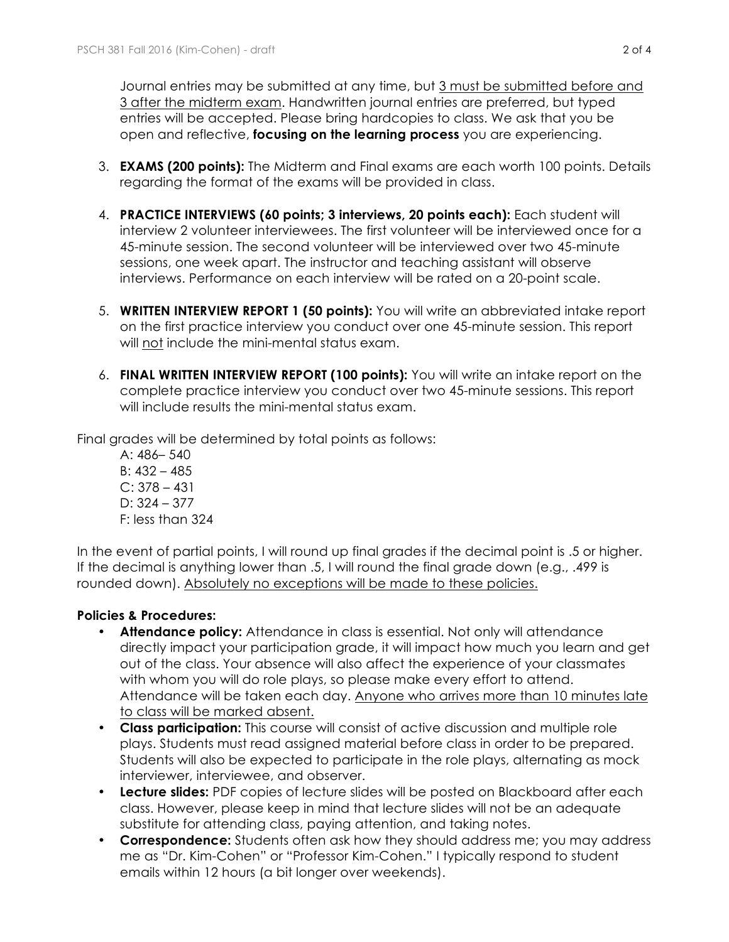Journal entries may be submitted at any time, but 3 must be submitted before and 3 after the midterm exam. Handwritten journal entries are preferred, but typed entries will be accepted. Please bring hardcopies to class. We ask that you be open and reflective, **focusing on the learning process** you are experiencing.

- 3. **EXAMS (200 points):** The Midterm and Final exams are each worth 100 points. Details regarding the format of the exams will be provided in class.
- 4. **PRACTICE INTERVIEWS (60 points; 3 interviews, 20 points each):** Each student will interview 2 volunteer interviewees. The first volunteer will be interviewed once for a 45-minute session. The second volunteer will be interviewed over two 45-minute sessions, one week apart. The instructor and teaching assistant will observe interviews. Performance on each interview will be rated on a 20-point scale.
- 5. **WRITTEN INTERVIEW REPORT 1 (50 points):** You will write an abbreviated intake report on the first practice interview you conduct over one 45-minute session. This report will not include the mini-mental status exam.
- 6. **FINAL WRITTEN INTERVIEW REPORT (100 points):** You will write an intake report on the complete practice interview you conduct over two 45-minute sessions. This report will include results the mini-mental status exam.

Final grades will be determined by total points as follows:

A: 486– 540 B: 432 – 485  $C: 378 - 431$  $D: 324 - 377$ F: less than 324

In the event of partial points, I will round up final grades if the decimal point is .5 or higher. If the decimal is anything lower than .5, I will round the final grade down (e.g., .499 is rounded down). Absolutely no exceptions will be made to these policies.

# **Policies & Procedures:**

- **Attendance policy:** Attendance in class is essential. Not only will attendance directly impact your participation grade, it will impact how much you learn and get out of the class. Your absence will also affect the experience of your classmates with whom you will do role plays, so please make every effort to attend. Attendance will be taken each day. Anyone who arrives more than 10 minutes late to class will be marked absent.
- **Class participation:** This course will consist of active discussion and multiple role plays. Students must read assigned material before class in order to be prepared. Students will also be expected to participate in the role plays, alternating as mock interviewer, interviewee, and observer.
- **Lecture slides:** PDF copies of lecture slides will be posted on Blackboard after each class. However, please keep in mind that lecture slides will not be an adequate substitute for attending class, paying attention, and taking notes.
- **Correspondence:** Students often ask how they should address me; you may address me as "Dr. Kim-Cohen" or "Professor Kim-Cohen." I typically respond to student emails within 12 hours (a bit longer over weekends).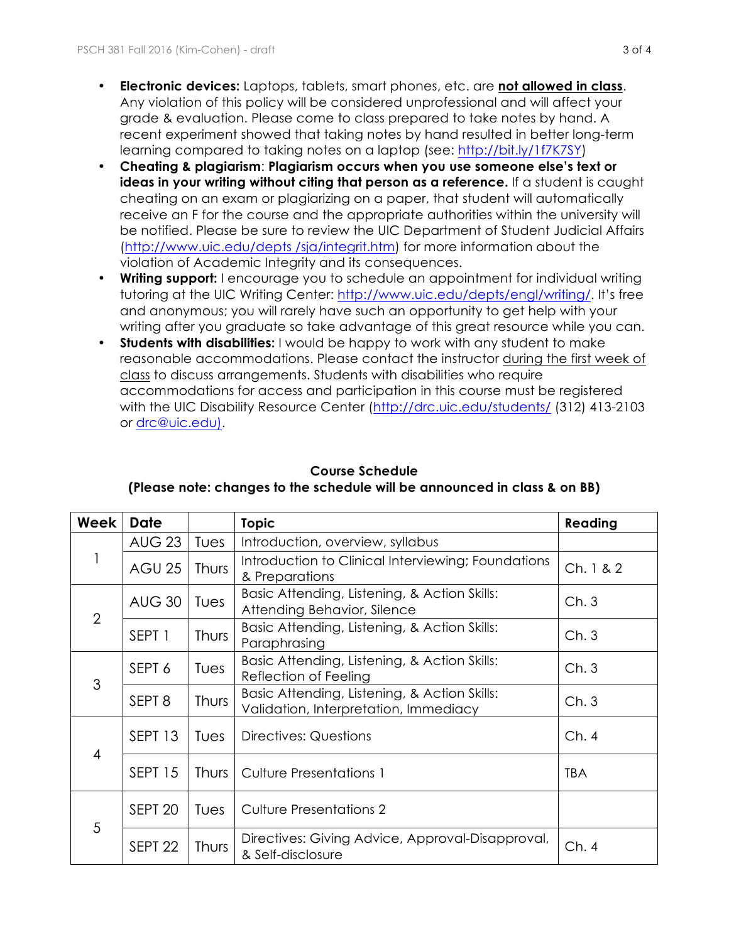- **Electronic devices:** Laptops, tablets, smart phones, etc. are **not allowed in class**. Any violation of this policy will be considered unprofessional and will affect your grade & evaluation. Please come to class prepared to take notes by hand. A recent experiment showed that taking notes by hand resulted in better long-term learning compared to taking notes on a laptop (see: http://bit.ly/1f7K7SY)
- **Cheating & plagiarism**: **Plagiarism occurs when you use someone else's text or**  ideas in your writing without citing that person as a reference. If a student is caught cheating on an exam or plagiarizing on a paper, that student will automatically receive an F for the course and the appropriate authorities within the university will be notified. Please be sure to review the UIC Department of Student Judicial Affairs (http://www.uic.edu/depts /sja/integrit.htm) for more information about the violation of Academic Integrity and its consequences.
- **Writing support:** I encourage you to schedule an appointment for individual writing tutoring at the UIC Writing Center: http://www.uic.edu/depts/engl/writing/. It's free and anonymous; you will rarely have such an opportunity to get help with your writing after you graduate so take advantage of this great resource while you can.
- **Students with disabilities:** I would be happy to work with any student to make reasonable accommodations. Please contact the instructor during the first week of class to discuss arrangements. Students with disabilities who require accommodations for access and participation in this course must be registered with the UIC Disability Resource Center (http://drc.uic.edu/students/ (312) 413-2103 or drc@uic.edu).

| Week           | <b>Date</b>        |              | <b>Topic</b>                                                                          | Reading    |
|----------------|--------------------|--------------|---------------------------------------------------------------------------------------|------------|
|                | <b>AUG 23</b>      | Tues         | Introduction, overview, syllabus                                                      |            |
|                | <b>AGU 25</b>      | <b>Thurs</b> | Introduction to Clinical Interviewing; Foundations<br>& Preparations                  | Ch. 1 & 2  |
| $\overline{2}$ | <b>AUG 30</b>      | Tues         | Basic Attending, Listening, & Action Skills:<br>Attending Behavior, Silence           | Ch.3       |
|                | SEPT 1             | Thurs        | Basic Attending, Listening, & Action Skills:<br>Paraphrasing                          | Ch.3       |
| 3              | SEPT 6             | Tues         | Basic Attending, Listening, & Action Skills:<br>Reflection of Feeling                 | Ch.3       |
|                | SEPT <sub>8</sub>  | Thurs        | Basic Attending, Listening, & Action Skills:<br>Validation, Interpretation, Immediacy | Ch.3       |
| $\overline{4}$ | SEPT <sub>13</sub> | Tues         | Directives: Questions                                                                 | Ch.4       |
|                | SEPT <sub>15</sub> | <b>Thurs</b> | <b>Culture Presentations 1</b>                                                        | <b>TBA</b> |
| 5              | SEPT <sub>20</sub> | Tues         | <b>Culture Presentations 2</b>                                                        |            |
|                | SEPT <sub>22</sub> | Thurs        | Directives: Giving Advice, Approval-Disapproval,<br>& Self-disclosure                 | Ch.4       |

### **Course Schedule (Please note: changes to the schedule will be announced in class & on BB)**